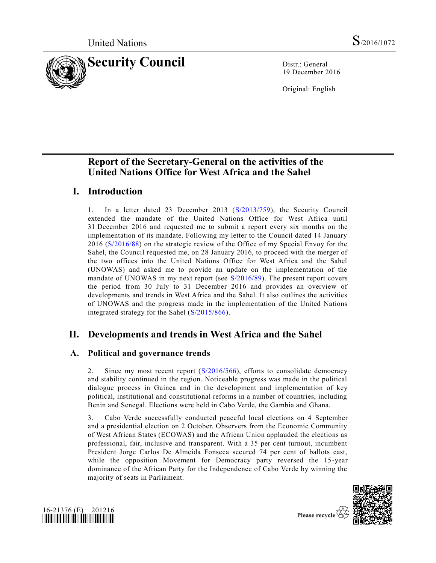

19 December 2016

Original: English

# **Report of the Secretary-General on the activities of the United Nations Office for West Africa and the Sahel**

# **I. Introduction**

1. In a letter dated 23 December 2013 [\(S/2013/759\)](http://undocs.org/S/2013/759), the Security Council extended the mandate of the United Nations Office for West Africa until 31 December 2016 and requested me to submit a report every six months on the implementation of its mandate. Following my letter to the Council dated 14 January 2016 [\(S/2016/88\)](http://undocs.org/S/2016/88) on the strategic review of the Office of my Special Envoy for the Sahel, the Council requested me, on 28 January 2016, to proceed with the merger of the two offices into the United Nations Office for West Africa and the Sahel (UNOWAS) and asked me to provide an update on the implementation of the mandate of UNOWAS in my next report (see [S/2016/89\)](http://undocs.org/S/2016/89). The present report covers the period from 30 July to 31 December 2016 and provides an overview of developments and trends in West Africa and the Sahel. It also outlines the activities of UNOWAS and the progress made in the implementation of the United Nations integrated strategy for the Sahel [\(S/2015/866\)](http://undocs.org/S/2015/866).

# **II. Developments and trends in West Africa and the Sahel**

# **A. Political and governance trends**

2. Since my most recent report [\(S/2016/566\)](http://undocs.org/S/2016/566), efforts to consolidate democracy and stability continued in the region. Noticeable progress was made in the political dialogue process in Guinea and in the development and implementation of key political, institutional and constitutional reforms in a number of countries, including Benin and Senegal. Elections were held in Cabo Verde, the Gambia and Ghana.

3. Cabo Verde successfully conducted peaceful local elections on 4 September and a presidential election on 2 October. Observers from the Economic Community of West African States (ECOWAS) and the African Union applauded the elections as professional, fair, inclusive and transparent. With a 35 per cent turnout, incumbent President Jorge Carlos De Almeida Fonseca secured 74 per cent of ballots cast, while the opposition Movement for Democracy party reversed the 15-year dominance of the African Party for the Independence of Cabo Verde by winning the majority of seats in Parliament.



Please recycle

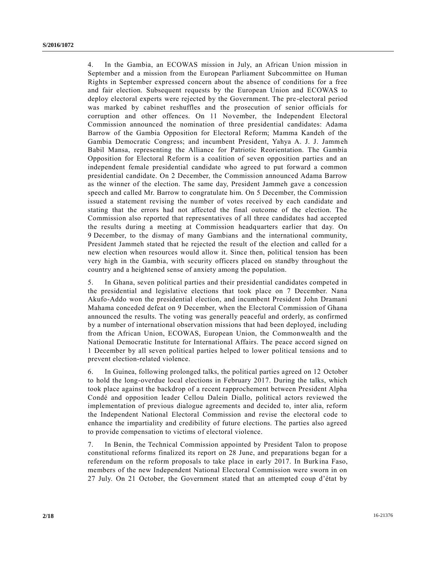4. In the Gambia, an ECOWAS mission in July, an African Union mission in September and a mission from the European Parliament Subcommittee on Human Rights in September expressed concern about the absence of conditions for a free and fair election. Subsequent requests by the European Union and ECOWAS to deploy electoral experts were rejected by the Government. The pre -electoral period was marked by cabinet reshuffles and the prosecution of senior officials for corruption and other offences. On 11 November, the Independent Electoral Commission announced the nomination of three presidential candidates: Adama Barrow of the Gambia Opposition for Electoral Reform; Mamma Kandeh of the Gambia Democratic Congress; and incumbent President, Yahya A. J. J. Jammeh Babil Mansa, representing the Alliance for Patriotic Reorientation. The Gambia Opposition for Electoral Reform is a coalition of seven opposition parties and an independent female presidential candidate who agreed to put forward a common presidential candidate. On 2 December, the Commission announced Adama Barrow as the winner of the election. The same day, President Jammeh gave a concession speech and called Mr. Barrow to congratulate him. On 5 December, the Commission issued a statement revising the number of votes received by each candidate and stating that the errors had not affected the final outcome of the election. The Commission also reported that representatives of all three candidates had accepted the results during a meeting at Commission headquarters earlier that day. On 9 December, to the dismay of many Gambians and the international community, President Jammeh stated that he rejected the result of the election and called for a new election when resources would allow it. Since then, political tension has been very high in the Gambia, with security officers placed on standby throughout the country and a heightened sense of anxiety among the population.

5. In Ghana, seven political parties and their presidential candidates competed in the presidential and legislative elections that took place on 7 December. Nana Akufo-Addo won the presidential election, and incumbent President John Dramani Mahama conceded defeat on 9 December, when the Electoral Commission of Ghana announced the results. The voting was generally peaceful and orderly, as confirmed by a number of international observation missions that had been deployed, including from the African Union, ECOWAS, European Union, the Commonwealth and the National Democratic Institute for International Affairs. The peace accord signed on 1 December by all seven political parties helped to lower political tensions and to prevent election-related violence.

6. In Guinea, following prolonged talks, the political parties agreed on 12 October to hold the long-overdue local elections in February 2017. During the talks, which took place against the backdrop of a recent rapprochement between President Alpha Condé and opposition leader Cellou Dalein Diallo, political actors reviewed the implementation of previous dialogue agreements and decided to, inter alia, reform the Independent National Electoral Commission and revise the electoral code to enhance the impartiality and credibility of future elections. The parties also agreed to provide compensation to victims of electoral violence.

7. In Benin, the Technical Commission appointed by President Talon to propose constitutional reforms finalized its report on 28 June, and preparations began for a referendum on the reform proposals to take place in early 2017. In Burkina Faso, members of the new Independent National Electoral Commission were sworn in on 27 July. On 21 October, the Government stated that an attempted coup d'état by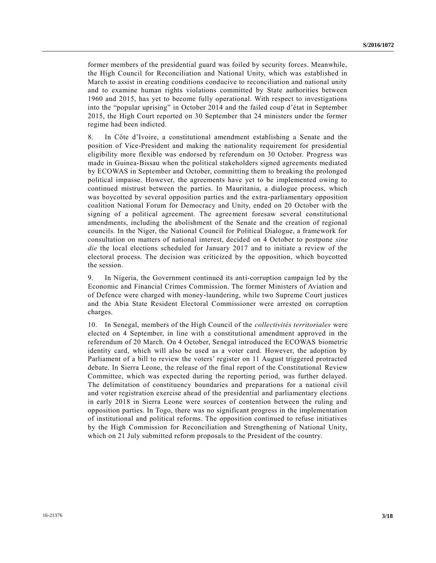former members of the presidential guard was foiled by security forces. Meanwhile, the High Council for Reconciliation and National Unity, which was established in March to assist in creating conditions conducive to reconciliation and national unity and to examine human rights violations committed by State authorities between 1960 and 2015, has yet to become fully operational. With respect to investigations into the "popular uprising" in October 2014 and the failed coup d'état in September 2015, the High Court reported on 30 September that 24 ministers under the former regime had been indicted.

8. In Côte d'Ivoire, a constitutional amendment establishing a Senate and the position of Vice-President and making the nationality requirement for presidential eligibility more flexible was endorsed by referendum on 30 October. Progress was made in Guinea-Bissau when the political stakeholders signed agreements mediated by ECOWAS in September and October, committing them to breaking the prolonged political impasse. However, the agreements have yet to be implemented owing to continued mistrust between the parties. In Mauritania, a dialogue process, which was boycotted by several opposition parties and the extra-parliamentary opposition coalition National Forum for Democracy and Unity, ended on 20 October with the signing of a political agreement. The agreement foresaw several constitutional amendments, including the abolishment of the Senate and the creation of regional councils. In the Niger, the National Council for Political Dialogue, a framework for consultation on matters of national interest, decided on 4 October to postpone *sine die* the local elections scheduled for January 2017 and to initiate a review of the electoral process. The decision was criticized by the opposition, which boycotted the session.

9. In Nigeria, the Government continued its anti-corruption campaign led by the Economic and Financial Crimes Commission. The former Ministers of Aviation and of Defence were charged with money-laundering, while two Supreme Court justices and the Abia State Resident Electoral Commissioner were arrested on corruption charges.

10. In Senegal, members of the High Council of the *collectivités territoriales* were elected on 4 September, in line with a constitutional amendment approved in the referendum of 20 March. On 4 October, Senegal introduced the ECOWAS biometric identity card, which will also be used as a voter card. However, the adoption by Parliament of a bill to review the voters' register on 11 August triggered protracted debate. In Sierra Leone, the release of the final report of the Constitutional Review Committee, which was expected during the reporting period, was further delayed. The delimitation of constituency boundaries and preparations for a national civil and voter registration exercise ahead of the presidential and parliamentary elections in early 2018 in Sierra Leone were sources of contention between the ruling and opposition parties. In Togo, there was no significant progress in the implementation of institutional and political reforms. The opposition continued to refuse initiatives by the High Commission for Reconciliation and Strengthening of National Unity, which on 21 July submitted reform proposals to the President of the country.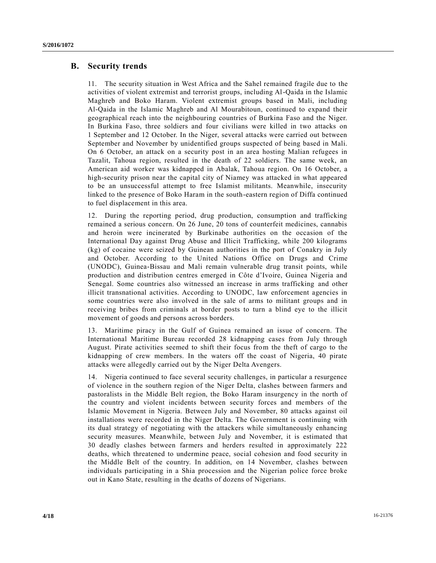### **B. Security trends**

11. The security situation in West Africa and the Sahel remained fragile due to the activities of violent extremist and terrorist groups, including Al-Qaida in the Islamic Maghreb and Boko Haram. Violent extremist groups based in Mali, including Al-Qaida in the Islamic Maghreb and Al Mourabitoun, continued to expand their geographical reach into the neighbouring countries of Burkina Faso and the Niger. In Burkina Faso, three soldiers and four civilians were killed in two attacks on 1 September and 12 October. In the Niger, several attacks were carried out between September and November by unidentified groups suspected of being based in Mali. On 6 October, an attack on a security post in an area hosting Malian refugees in Tazalit, Tahoua region, resulted in the death of 22 soldiers. The same week, an American aid worker was kidnapped in Abalak, Tahoua region. On 16 October, a high-security prison near the capital city of Niamey was attacked in what appeared to be an unsuccessful attempt to free Islamist militants. Meanwhile, insecurity linked to the presence of Boko Haram in the south-eastern region of Diffa continued to fuel displacement in this area.

12. During the reporting period, drug production, consumption and trafficking remained a serious concern. On 26 June, 20 tons of counterfeit medicines, cannabis and heroin were incinerated by Burkinabe authorities on the occasion of the International Day against Drug Abuse and Illicit Trafficking, while 200 kilograms (kg) of cocaine were seized by Guinean authorities in the port of Conakry in July and October. According to the United Nations Office on Drugs and Crime (UNODC), Guinea-Bissau and Mali remain vulnerable drug transit points, while production and distribution centres emerged in Côte d'Ivoire, Guinea Nigeria and Senegal. Some countries also witnessed an increase in arms trafficking and other illicit transnational activities. According to UNODC, law enforcement agencies in some countries were also involved in the sale of arms to militant groups and in receiving bribes from criminals at border posts to turn a blind eye to the illicit movement of goods and persons across borders.

13. Maritime piracy in the Gulf of Guinea remained an issue of concern. The International Maritime Bureau recorded 28 kidnapping cases from July through August. Pirate activities seemed to shift their focus from the theft of cargo to the kidnapping of crew members. In the waters off the coast of Nigeria, 40 pirate attacks were allegedly carried out by the Niger Delta Avengers.

14. Nigeria continued to face several security challenges, in particular a resurgence of violence in the southern region of the Niger Delta, clashes between farmers and pastoralists in the Middle Belt region, the Boko Haram insurgency in the north of the country and violent incidents between security forces and members of the Islamic Movement in Nigeria. Between July and November, 80 attacks against oil installations were recorded in the Niger Delta. The Government is continuing with its dual strategy of negotiating with the attackers while simultaneously enhancing security measures. Meanwhile, between July and November, it is estimated that 30 deadly clashes between farmers and herders resulted in approximately 222 deaths, which threatened to undermine peace, social cohesion and food security in the Middle Belt of the country. In addition, on 14 November, clashes between individuals participating in a Shia procession and the Nigerian police force broke out in Kano State, resulting in the deaths of dozens of Nigerians.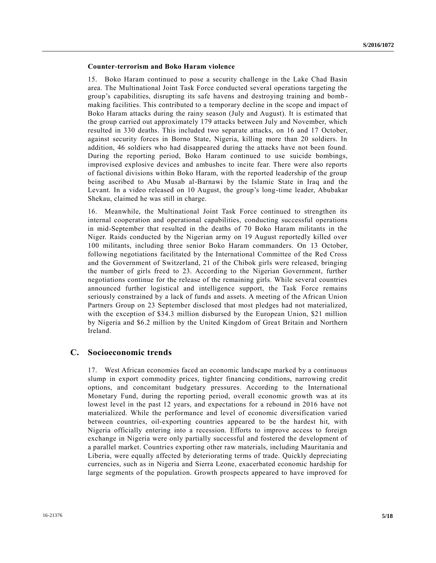#### **Counter-terrorism and Boko Haram violence**

15. Boko Haram continued to pose a security challenge in the Lake Chad Basin area. The Multinational Joint Task Force conducted several operations targeting the group's capabilities, disrupting its safe havens and destroying training and bomb making facilities. This contributed to a temporary decline in the scope and impact of Boko Haram attacks during the rainy season (July and August). It is estimated that the group carried out approximately 179 attacks between July and November, which resulted in 330 deaths. This included two separate attacks, on 16 and 17 October, against security forces in Borno State, Nigeria, killing more than 20 soldiers. In addition, 46 soldiers who had disappeared during the attacks have not been found. During the reporting period, Boko Haram continued to use suicide bombings, improvised explosive devices and ambushes to incite fear. There were also reports of factional divisions within Boko Haram, with the reported leadership of the group being ascribed to Abu Musab al-Barnawi by the Islamic State in Iraq and the Levant. In a video released on 10 August, the group's long-time leader, Abubakar Shekau, claimed he was still in charge.

16. Meanwhile, the Multinational Joint Task Force continued to strengthen its internal cooperation and operational capabilities, conducting successful operations in mid-September that resulted in the deaths of 70 Boko Haram militants in the Niger. Raids conducted by the Nigerian army on 19 August reportedly killed over 100 militants, including three senior Boko Haram commanders. On 13 October, following negotiations facilitated by the International Committee of the Red Cross and the Government of Switzerland, 21 of the Chibok girls were released, bringing the number of girls freed to 23. According to the Nigerian Government, further negotiations continue for the release of the remaining girls. While several countries announced further logistical and intelligence support, the Task Force remains seriously constrained by a lack of funds and assets. A meeting of the African Union Partners Group on 23 September disclosed that most pledges had not materialized, with the exception of \$34.3 million disbursed by the European Union, \$21 million by Nigeria and \$6.2 million by the United Kingdom of Great Britain and Northern Ireland.

## **C. Socioeconomic trends**

17. West African economies faced an economic landscape marked by a continuous slump in export commodity prices, tighter financing conditions, narrowing credit options, and concomitant budgetary pressures. According to the International Monetary Fund, during the reporting period, overall economic growth was at its lowest level in the past 12 years, and expectations for a rebound in 2016 have not materialized. While the performance and level of economic diversification varied between countries, oil-exporting countries appeared to be the hardest hit, with Nigeria officially entering into a recession. Efforts to improve access to foreign exchange in Nigeria were only partially successful and fostered the development of a parallel market. Countries exporting other raw materials, including Mauritania and Liberia, were equally affected by deteriorating terms of trade. Quickly depreciating currencies, such as in Nigeria and Sierra Leone, exacerbated economic hardship for large segments of the population. Growth prospects appeared to have improved for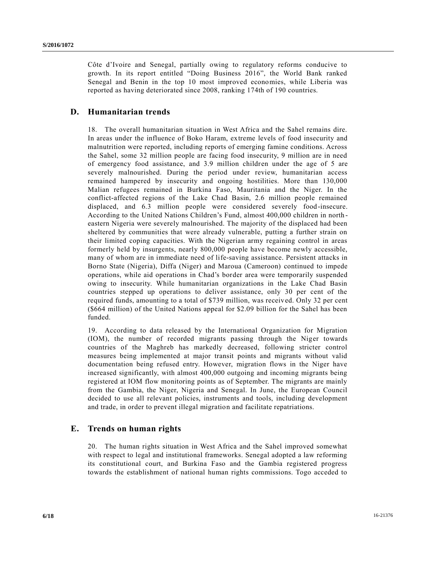Côte d'Ivoire and Senegal, partially owing to regulatory reforms conducive to growth. In its report entitled "Doing Business 2016", the World Bank ranked Senegal and Benin in the top 10 most improved economies, while Liberia was reported as having deteriorated since 2008, ranking 174th of 190 countries.

## **D. Humanitarian trends**

18. The overall humanitarian situation in West Africa and the Sahel remains dire. In areas under the influence of Boko Haram, extreme levels of food insecurity and malnutrition were reported, including reports of emerging famine conditions. Across the Sahel, some 32 million people are facing food insecurity, 9 million are in need of emergency food assistance, and 3.9 million children under the age of 5 are severely malnourished. During the period under review, humanitarian access remained hampered by insecurity and ongoing hostilities. More than 130,000 Malian refugees remained in Burkina Faso, Mauritania and the Niger. In the conflict-affected regions of the Lake Chad Basin, 2.6 million people remained displaced, and 6.3 million people were considered severely food-insecure. According to the United Nations Children's Fund, almost 400,000 children in north eastern Nigeria were severely malnourished. The majority of the displaced had been sheltered by communities that were already vulnerable, putting a further strain on their limited coping capacities. With the Nigerian army regaining control in areas formerly held by insurgents, nearly 800,000 people have become newly accessible, many of whom are in immediate need of life-saving assistance. Persistent attacks in Borno State (Nigeria), Diffa (Niger) and Maroua (Cameroon) continued to impede operations, while aid operations in Chad's border area were temporarily suspended owing to insecurity. While humanitarian organizations in the Lake Chad Basin countries stepped up operations to deliver assistance, only 30 per cent of the required funds, amounting to a total of \$739 million, was received. Only 32 per cent (\$664 million) of the United Nations appeal for \$2.09 billion for the Sahel has been funded.

19. According to data released by the International Organization for Migration (IOM), the number of recorded migrants passing through the Niger towards countries of the Maghreb has markedly decreased, following stricter control measures being implemented at major transit points and migrants without valid documentation being refused entry. However, migration flows in the Niger have increased significantly, with almost 400,000 outgoing and incoming migrants being registered at IOM flow monitoring points as of September. The migrants are mainly from the Gambia, the Niger, Nigeria and Senegal. In June, the European Council decided to use all relevant policies, instruments and tools, including development and trade, in order to prevent illegal migration and facilitate repatriations.

## **E. Trends on human rights**

20. The human rights situation in West Africa and the Sahel improved somewhat with respect to legal and institutional frameworks. Senegal adopted a law reforming its constitutional court, and Burkina Faso and the Gambia registered progress towards the establishment of national human rights commissions. Togo acceded to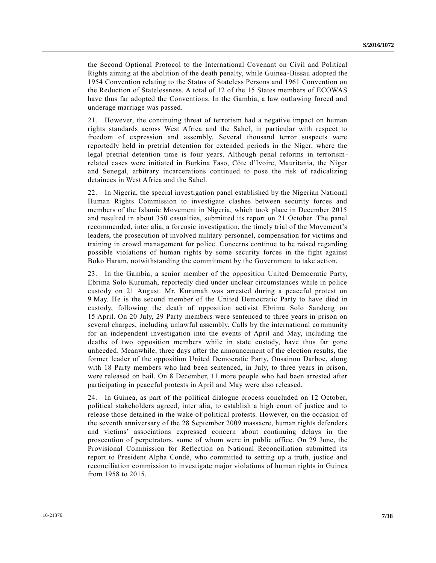the Second Optional Protocol to the International Covenant on Civil and Political Rights aiming at the abolition of the death penalty, while Guinea -Bissau adopted the 1954 Convention relating to the Status of Stateless Persons and 1961 Convention on the Reduction of Statelessness. A total of 12 of the 15 States members of ECOWAS have thus far adopted the Conventions. In the Gambia, a law outlawing forced and underage marriage was passed.

21. However, the continuing threat of terrorism had a negative impact on human rights standards across West Africa and the Sahel, in particular with respect to freedom of expression and assembly. Several thousand terror suspects were reportedly held in pretrial detention for extended periods in the Niger, where the legal pretrial detention time is four years. Although penal reforms in terrorismrelated cases were initiated in Burkina Faso, Côte d'Ivoire, Mauritania, the Niger and Senegal, arbitrary incarcerations continued to pose the risk of radicalizing detainees in West Africa and the Sahel.

22. In Nigeria, the special investigation panel established by the Nigerian National Human Rights Commission to investigate clashes between security forces and members of the Islamic Movement in Nigeria, which took place in December 2015 and resulted in about 350 casualties, submitted its report on 21 October. The panel recommended, inter alia, a forensic investigation, the timely trial of the Movement's leaders, the prosecution of involved military personnel, compensation for victims and training in crowd management for police. Concerns continue to be raised regarding possible violations of human rights by some security forces in the fight against Boko Haram, notwithstanding the commitment by the Government to take action.

23. In the Gambia, a senior member of the opposition United Democratic Party, Ebrima Solo Kurumah, reportedly died under unclear circumstances while in police custody on 21 August. Mr. Kurumah was arrested during a peaceful protest on 9 May. He is the second member of the United Democratic Party to have died in custody, following the death of opposition activist Ebrima Solo Sandeng on 15 April. On 20 July, 29 Party members were sentenced to three years in prison on several charges, including unlawful assembly. Calls by the international community for an independent investigation into the events of April and May, including the deaths of two opposition members while in state custody, have thus far gone unheeded. Meanwhile, three days after the announcement of the election results, the former leader of the opposition United Democratic Party, Ousainou Darboe, along with 18 Party members who had been sentenced, in July, to three years in prison, were released on bail. On 8 December, 11 more people who had been arrested after participating in peaceful protests in April and May were also released.

24. In Guinea, as part of the political dialogue process concluded on 12 October, political stakeholders agreed, inter alia, to establish a high court of justice and to release those detained in the wake of political protests. However, on the occasion of the seventh anniversary of the 28 September 2009 massacre, human rights defenders and victims' associations expressed concern about continuing delays in the prosecution of perpetrators, some of whom were in public office. On 29 June, the Provisional Commission for Reflection on National Reconciliation submitted its report to President Alpha Condé, who committed to setting up a truth, justice and reconciliation commission to investigate major violations of human rights in Guinea from 1958 to 2015.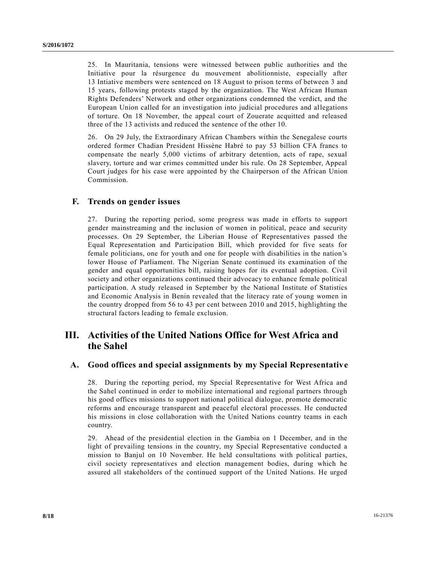25. In Mauritania, tensions were witnessed between public authorities and the Initiative pour la résurgence du mouvement abolitionniste, especially after 13 Intiative members were sentenced on 18 August to prison terms of between 3 and 15 years, following protests staged by the organization. The West African Human Rights Defenders' Network and other organizations condemned the verdict, and the European Union called for an investigation into judicial procedures and allegations of torture. On 18 November, the appeal court of Zouerate acquitted and released three of the 13 activists and reduced the sentence of the other 10.

26. On 29 July, the Extraordinary African Chambers within the Senegalese courts ordered former Chadian President Hissène Habré to pay 53 billion CFA francs to compensate the nearly 5,000 victims of arbitrary detention, acts of rape, sexual slavery, torture and war crimes committed under his rule. On 28 September, Appeal Court judges for his case were appointed by the Chairperson of the African Union Commission.

### **F. Trends on gender issues**

27. During the reporting period, some progress was made in efforts to support gender mainstreaming and the inclusion of women in political, peace and security processes. On 29 September, the Liberian House of Representatives passed the Equal Representation and Participation Bill, which provided for five seats for female politicians, one for youth and one for people with disabilities in the nation's lower House of Parliament. The Nigerian Senate continued its examination of the gender and equal opportunities bill, raising hopes for its eventual adoption. Civil society and other organizations continued their advocacy to enhance female political participation. A study released in September by the National Institute of Statistics and Economic Analysis in Benin revealed that the literacy rate of young women in the country dropped from 56 to 43 per cent between 2010 and 2015, highlighting the structural factors leading to female exclusion.

# **III. Activities of the United Nations Office for West Africa and the Sahel**

#### **A. Good offices and special assignments by my Special Representative**

28. During the reporting period, my Special Representative for West Africa and the Sahel continued in order to mobilize international and regional partners through his good offices missions to support national political dialogue, promote democratic reforms and encourage transparent and peaceful electoral processes. He conducted his missions in close collaboration with the United Nations country teams in each country.

29. Ahead of the presidential election in the Gambia on 1 December, and in the light of prevailing tensions in the country, my Special Representative conducted a mission to Banjul on 10 November. He held consultations with political parties, civil society representatives and election management bodies, during which he assured all stakeholders of the continued support of the United Nations. He urged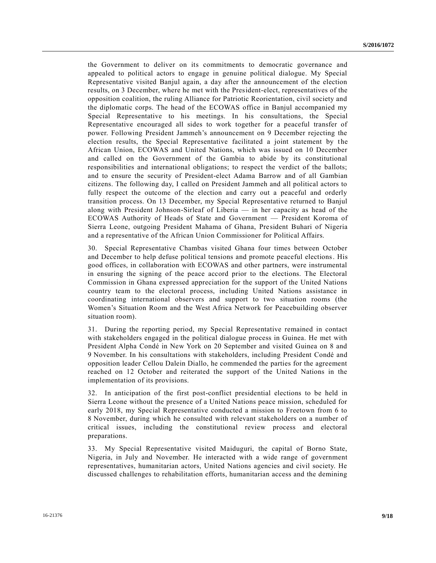the Government to deliver on its commitments to democratic governance and appealed to political actors to engage in genuine political dialogue. My Special Representative visited Banjul again, a day after the announcement of the election results, on 3 December, where he met with the President-elect, representatives of the opposition coalition, the ruling Alliance for Patriotic Reorientation, civil society and the diplomatic corps. The head of the ECOWAS office in Banjul accompanied my Special Representative to his meetings. In his consultations, the Special Representative encouraged all sides to work together for a peaceful transfer of power. Following President Jammeh's announcement on 9 December rejecting the election results, the Special Representative facilitated a joint statement by t he African Union, ECOWAS and United Nations, which was issued on 10 December and called on the Government of the Gambia to abide by its constitutional responsibilities and international obligations; to respect the verdict of the ballots; and to ensure the security of President-elect Adama Barrow and of all Gambian citizens. The following day, I called on President Jammeh and all political actors to fully respect the outcome of the election and carry out a peaceful and orderly transition process. On 13 December, my Special Representative returned to Banjul along with President Johnson-Sirleaf of Liberia — in her capacity as head of the ECOWAS Authority of Heads of State and Government — President Koroma of Sierra Leone, outgoing President Mahama of Ghana, President Buhari of Nigeria and a representative of the African Union Commissioner for Political Affairs.

30. Special Representative Chambas visited Ghana four times between October and December to help defuse political tensions and promote peaceful elections. His good offices, in collaboration with ECOWAS and other partners, were instrumental in ensuring the signing of the peace accord prior to the elections. The Electoral Commission in Ghana expressed appreciation for the support of the United Nations country team to the electoral process, including United Nations assistance in coordinating international observers and support to two situation rooms (the Women's Situation Room and the West Africa Network for Peacebuilding observer situation room).

31. During the reporting period, my Special Representative remained in contact with stakeholders engaged in the political dialogue process in Guinea. He met with President Alpha Condé in New York on 20 September and visited Guinea on 8 and 9 November. In his consultations with stakeholders, including President Condé and opposition leader Cellou Dalein Diallo, he commended the parties for the agreement reached on 12 October and reiterated the support of the United Nations in the implementation of its provisions.

32. In anticipation of the first post-conflict presidential elections to be held in Sierra Leone without the presence of a United Nations peace mission, scheduled for early 2018, my Special Representative conducted a mission to Freetown from 6 to 8 November, during which he consulted with relevant stakeholders on a number of critical issues, including the constitutional review process and electoral preparations.

33. My Special Representative visited Maiduguri, the capital of Borno State, Nigeria, in July and November. He interacted with a wide range of government representatives, humanitarian actors, United Nations agencies and civil society. He discussed challenges to rehabilitation efforts, humanitarian access and the demining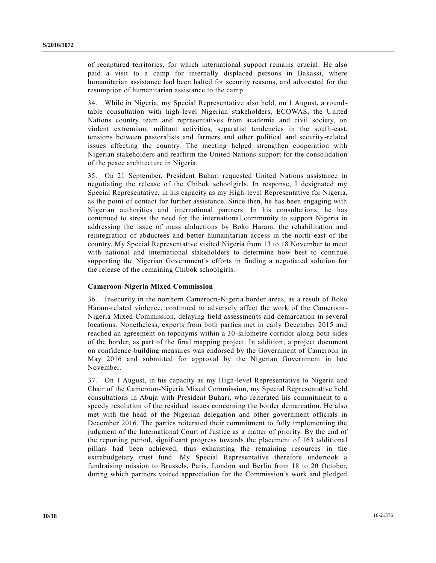of recaptured territories, for which international support remains crucial. He also paid a visit to a camp for internally displaced persons in Bakassi, where humanitarian assistance had been halted for security reasons, and advocated for the resumption of humanitarian assistance to the camp.

34. While in Nigeria, my Special Representative also held, on 1 August, a round table consultation with high-level Nigerian stakeholders, ECOWAS, the United Nations country team and representatives from academia and civil society, on violent extremism, militant activities, separatist tendencies in the south-east, tensions between pastoralists and farmers and other political and security-related issues affecting the country. The meeting helped strengthen cooperation with Nigerian stakeholders and reaffirm the United Nations support for the consolidation of the peace architecture in Nigeria.

35. On 21 September, President Buhari requested United Nations assistance in negotiating the release of the Chibok schoolgirls. In response, I designated my Special Representative, in his capacity as my High-level Representative for Nigeria, as the point of contact for further assistance. Since then, he has been engaging with Nigerian authorities and international partners. In his consultations, he has continued to stress the need for the international community to support Nigeria in addressing the issue of mass abductions by Boko Haram, the rehabilitation and reintegration of abductees and better humanitarian access in the north-east of the country. My Special Representative visited Nigeria from 13 to 18 November to meet with national and international stakeholders to determine how best to continue supporting the Nigerian Government's efforts in finding a negotiated solution for the release of the remaining Chibok schoolgirls.

#### **Cameroon-Nigeria Mixed Commission**

36. Insecurity in the northern Cameroon-Nigeria border areas, as a result of Boko Haram-related violence, continued to adversely affect the work of the Cameroon - Nigeria Mixed Commission, delaying field assessments and demarcation in several locations. Nonetheless, experts from both parties met in early December 2015 and reached an agreement on toponyms within a 30-kilometre corridor along both sides of the border, as part of the final mapping project. In addition, a project document on confidence-building measures was endorsed by the Government of Cameroon in May 2016 and submitted for approval by the Nigerian Government in late November.

37. On 1 August, in his capacity as my High-level Representative to Nigeria and Chair of the Cameroon-Nigeria Mixed Commission, my Special Representative held consultations in Abuja with President Buhari, who reiterated his commitment to a speedy resolution of the residual issues concerning the border demarcation. He also met with the head of the Nigerian delegation and other government officials in December 2016. The parties reiterated their commitment to fully implementing the judgment of the International Court of Justice as a matter of priority. By the end of the reporting period, significant progress towards the placement of 163 additional pillars had been achieved, thus exhausting the remaining resources in the extrabudgetary trust fund. My Special Representative therefore undertook a fundraising mission to Brussels, Paris, London and Berlin from 18 to 20 October, during which partners voiced appreciation for the Commission's work and pledged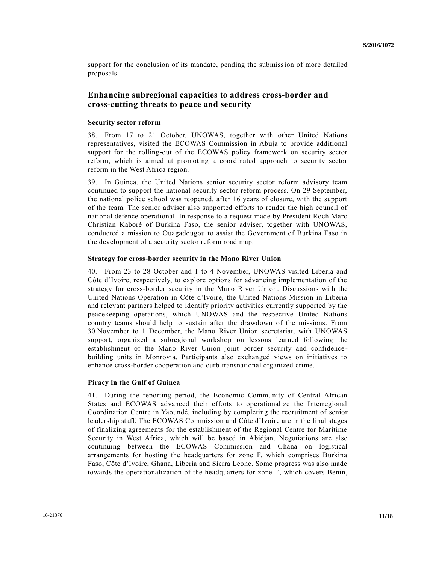support for the conclusion of its mandate, pending the submission of more detailed proposals.

## **Enhancing subregional capacities to address cross-border and cross-cutting threats to peace and security**

#### **Security sector reform**

38. From 17 to 21 October, UNOWAS, together with other United Nations representatives, visited the ECOWAS Commission in Abuja to provide additional support for the rolling-out of the ECOWAS policy framework on security sector reform, which is aimed at promoting a coordinated approach to security sector reform in the West Africa region.

39. In Guinea, the United Nations senior security sector reform advisory team continued to support the national security sector reform process. On 29 September, the national police school was reopened, after 16 years of closure, with the support of the team. The senior adviser also supported efforts to render the high council of national defence operational. In response to a request made by President Roch Marc Christian Kaboré of Burkina Faso, the senior adviser, together with UNOWAS, conducted a mission to Ouagadougou to assist the Government of Burkina Faso in the development of a security sector reform road map.

#### **Strategy for cross-border security in the Mano River Union**

40. From 23 to 28 October and 1 to 4 November, UNOWAS visited Liberia and Côte d'Ivoire, respectively, to explore options for advancing implementation of the strategy for cross-border security in the Mano River Union. Discussions with the United Nations Operation in Côte d'Ivoire, the United Nations Mission in Liberia and relevant partners helped to identify priority activities currently supported by the peacekeeping operations, which UNOWAS and the respective United Nations country teams should help to sustain after the drawdown of the missions. From 30 November to 1 December, the Mano River Union secretariat, with UNOWAS support, organized a subregional workshop on lessons learned following the establishment of the Mano River Union joint border security and confidence building units in Monrovia. Participants also exchanged views on initiatives to enhance cross-border cooperation and curb transnational organized crime.

#### **Piracy in the Gulf of Guinea**

41. During the reporting period, the Economic Community of Central African States and ECOWAS advanced their efforts to operationalize the Interregional Coordination Centre in Yaoundé, including by completing the recruitment of senior leadership staff. The ECOWAS Commission and Côte d'Ivoire are in the final stages of finalizing agreements for the establishment of the Regional Centre for Maritime Security in West Africa, which will be based in Abidjan. Negotiations are also continuing between the ECOWAS Commission and Ghana on logistical arrangements for hosting the headquarters for zone F, which comprises Burkina Faso, Côte d'Ivoire, Ghana, Liberia and Sierra Leone. Some progress was also made towards the operationalization of the headquarters for zone E, which covers Benin,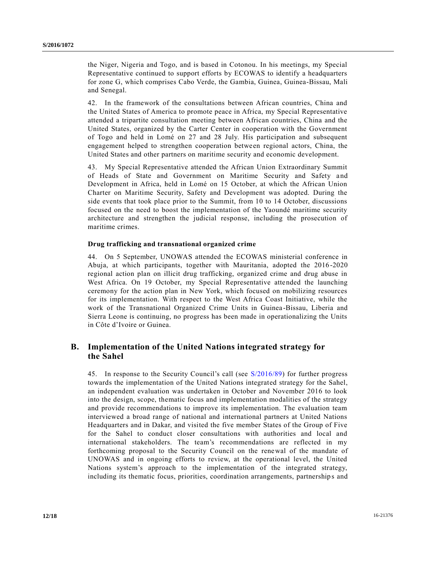the Niger, Nigeria and Togo, and is based in Cotonou. In his meetings, my Special Representative continued to support efforts by ECOWAS to identify a headquarters for zone G, which comprises Cabo Verde, the Gambia, Guinea, Guinea-Bissau, Mali and Senegal.

42. In the framework of the consultations between African countries, China and the United States of America to promote peace in Africa, my Special Representative attended a tripartite consultation meeting between African countries, China and the United States, organized by the Carter Center in cooperation with the Government of Togo and held in Lomé on 27 and 28 July. His participation and subsequent engagement helped to strengthen cooperation between regional actors, China, the United States and other partners on maritime security and economic development.

43. My Special Representative attended the African Union Extraordinary Summit of Heads of State and Government on Maritime Security and Safety and Development in Africa, held in Lomé on 15 October, at which the African Union Charter on Maritime Security, Safety and Development was adopted. During the side events that took place prior to the Summit, from 10 to 14 October, discussions focused on the need to boost the implementation of the Yaoundé maritime security architecture and strengthen the judicial response, including the prosecution of maritime crimes.

#### **Drug trafficking and transnational organized crime**

44. On 5 September, UNOWAS attended the ECOWAS ministerial conference in Abuja, at which participants, together with Mauritania, adopted the 2016 -2020 regional action plan on illicit drug trafficking, organized crime and drug abuse in West Africa. On 19 October, my Special Representative attended the launching ceremony for the action plan in New York, which focused on mobilizing resources for its implementation. With respect to the West Africa Coast Initiative, while the work of the Transnational Organized Crime Units in Guinea -Bissau, Liberia and Sierra Leone is continuing, no progress has been made in operationalizing the Units in Côte d'Ivoire or Guinea.

## **B. Implementation of the United Nations integrated strategy for the Sahel**

45. In response to the Security Council's call (see [S/2016/89\)](http://undocs.org/S/2016/89) for further progress towards the implementation of the United Nations integrated strategy for the Sahel, an independent evaluation was undertaken in October and November 2016 to look into the design, scope, thematic focus and implementation modalities of the strategy and provide recommendations to improve its implementation. The evaluation team interviewed a broad range of national and international partners at United Nations Headquarters and in Dakar, and visited the five member States of the Group of Five for the Sahel to conduct closer consultations with authorities and local and international stakeholders. The team's recommendations are reflected in my forthcoming proposal to the Security Council on the renewal of the mandate of UNOWAS and in ongoing efforts to review, at the operational level, the United Nations system's approach to the implementation of the integrated strategy, including its thematic focus, priorities, coordination arrangements, partnership s and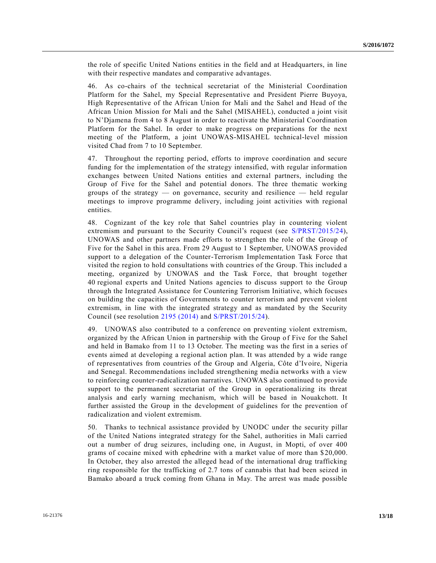the role of specific United Nations entities in the field and at Headquarters, in line with their respective mandates and comparative advantages.

46. As co-chairs of the technical secretariat of the Ministerial Coordination Platform for the Sahel, my Special Representative and President Pierre Buyoya, High Representative of the African Union for Mali and the Sahel and Head of the African Union Mission for Mali and the Sahel (MISAHEL), conducted a joint visit to N'Djamena from 4 to 8 August in order to reactivate the Ministerial Coordination Platform for the Sahel. In order to make progress on preparations for the next meeting of the Platform, a joint UNOWAS-MISAHEL technical-level mission visited Chad from 7 to 10 September.

47. Throughout the reporting period, efforts to improve coordination and secure funding for the implementation of the strategy intensified, with regular information exchanges between United Nations entities and external partners, including the Group of Five for the Sahel and potential donors. The three thematic working groups of the strategy — on governance, security and resilience — held regular meetings to improve programme delivery, including joint activities with regional entities.

48. Cognizant of the key role that Sahel countries play in countering violent extremism and pursuant to the Security Council's request (see [S/PRST/2015/24\)](http://undocs.org/S/PRST/2015/24), UNOWAS and other partners made efforts to strengthen the role of the Group of Five for the Sahel in this area. From 29 August to 1 September, UNOWAS provided support to a delegation of the Counter-Terrorism Implementation Task Force that visited the region to hold consultations with countries of the Group. This included a meeting, organized by UNOWAS and the Task Force, that brought together 40 regional experts and United Nations agencies to discuss support to the Group through the Integrated Assistance for Countering Terrorism Initiative, which focuses on building the capacities of Governments to counter terrorism and prevent violent extremism, in line with the integrated strategy and as mandated by the Security Council (see resolution [2195 \(2014\)](http://undocs.org/S/RES/2195(2014)) and [S/PRST/2015/24\)](http://undocs.org/S/PRST/2015/24).

49. UNOWAS also contributed to a conference on preventing violent extremism, organized by the African Union in partnership with the Group of Five for the Sahel and held in Bamako from 11 to 13 October. The meeting was the first in a series of events aimed at developing a regional action plan. It was attended by a wide range of representatives from countries of the Group and Algeria, Côte d'Ivoire, Nigeria and Senegal. Recommendations included strengthening media networks with a view to reinforcing counter-radicalization narratives. UNOWAS also continued to provide support to the permanent secretariat of the Group in operationalizing its threat analysis and early warning mechanism, which will be based in Nouakchott. It further assisted the Group in the development of guidelines for the prevention of radicalization and violent extremism.

50. Thanks to technical assistance provided by UNODC under the security pillar of the United Nations integrated strategy for the Sahel, authorities in Mali carried out a number of drug seizures, including one, in August, in Mopti, of over 400 grams of cocaine mixed with ephedrine with a market value of more than \$ 20,000. In October, they also arrested the alleged head of the international drug trafficking ring responsible for the trafficking of 2.7 tons of cannabis that had been seized in Bamako aboard a truck coming from Ghana in May. The arrest was made possible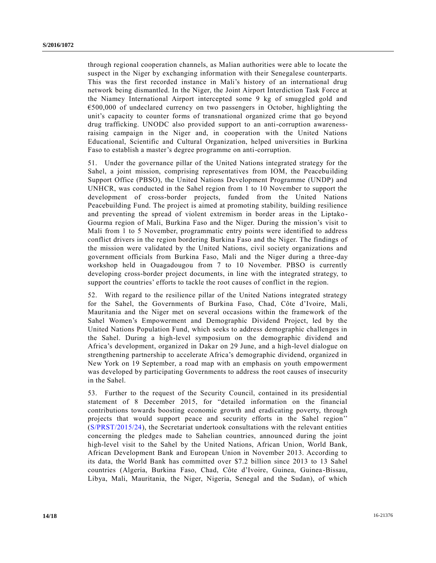through regional cooperation channels, as Malian authorities were able to locate the suspect in the Niger by exchanging information with their Senegalese counterparts. This was the first recorded instance in Mali's history of an international drug network being dismantled. In the Niger, the Joint Airport Interdiction Task Force at the Niamey International Airport intercepted some 9 kg of smuggled gold and €500,000 of undeclared currency on two passengers in October, highlighting the unit's capacity to counter forms of transnational organized crime that go beyond drug trafficking. UNODC also provided support to an anti-corruption awarenessraising campaign in the Niger and, in cooperation with the United Nations Educational, Scientific and Cultural Organization, helped universities in Burkina Faso to establish a master's degree programme on anti-corruption.

51. Under the governance pillar of the United Nations integrated strategy for the Sahel, a joint mission, comprising representatives from IOM, the Peacebuilding Support Office (PBSO), the United Nations Development Programme (UNDP) and UNHCR, was conducted in the Sahel region from 1 to 10 November to support the development of cross-border projects, funded from the United Nations Peacebuilding Fund. The project is aimed at promoting stability, building resilience and preventing the spread of violent extremism in border areas in the Liptako - Gourma region of Mali, Burkina Faso and the Niger. During the mission's visit to Mali from 1 to 5 November, programmatic entry points were identified to address conflict drivers in the region bordering Burkina Faso and the Niger. The findings of the mission were validated by the United Nations, civil society organizations and government officials from Burkina Faso, Mali and the Niger during a three-day workshop held in Ouagadougou from 7 to 10 November. PBSO is currently developing cross-border project documents, in line with the integrated strategy, to support the countries' efforts to tackle the root causes of conflict in the region.

52. With regard to the resilience pillar of the United Nations integrated strategy for the Sahel, the Governments of Burkina Faso, Chad, Côte d'Ivoire, Mali, Mauritania and the Niger met on several occasions within the framework of the Sahel Women's Empowerment and Demographic Dividend Project, led by the United Nations Population Fund, which seeks to address demographic challenges in the Sahel. During a high-level symposium on the demographic dividend and Africa's development, organized in Dakar on 29 June, and a high-level dialogue on strengthening partnership to accelerate Africa's demographic dividend, organized in New York on 19 September, a road map with an emphasis on youth empowerment was developed by participating Governments to address the root causes of insecurity in the Sahel.

53. Further to the request of the Security Council, contained in its presidential statement of 8 December 2015, for "detailed information on the financial contributions towards boosting economic growth and eradicating poverty, through projects that would support peace and security efforts in the Sahel region'' [\(S/PRST/2015/24\)](http://undocs.org/S/PRST/2015/24), the Secretariat undertook consultations with the relevant entities concerning the pledges made to Sahelian countries, announced during the joint high-level visit to the Sahel by the United Nations, African Union, World Bank, African Development Bank and European Union in November 2013. According to its data, the World Bank has committed over \$7.2 billion since 2013 to 13 Sahel countries (Algeria, Burkina Faso, Chad, Côte d'Ivoire, Guinea, Guinea -Bissau, Libya, Mali, Mauritania, the Niger, Nigeria, Senegal and the Sudan), of which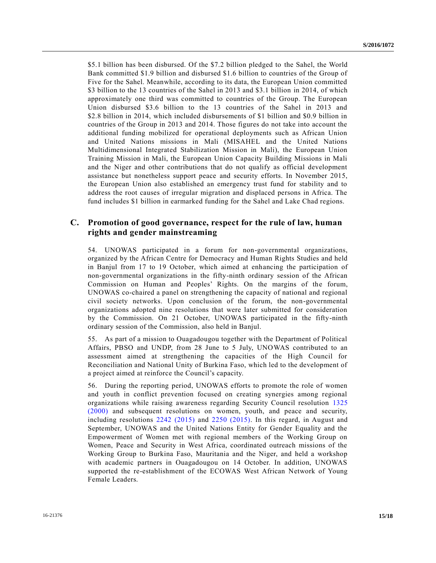\$5.1 billion has been disbursed. Of the \$7.2 billion pledged to the Sahel, the World Bank committed \$1.9 billion and disbursed \$1.6 billion to countries of the Group of Five for the Sahel. Meanwhile, according to its data, the European Union committed \$3 billion to the 13 countries of the Sahel in 2013 and \$3.1 billion in 2014, of which approximately one third was committed to countries of the Group. The European Union disbursed \$3.6 billion to the 13 countries of the Sahel in 2013 and \$2.8 billion in 2014, which included disbursements of \$1 billion and \$0.9 billion in countries of the Group in 2013 and 2014. Those figures do not take into account the additional funding mobilized for operational deployments such as African Union and United Nations missions in Mali (MISAHEL and the United Nations Multidimensional Integrated Stabilization Mission in Mali), the European Union Training Mission in Mali, the European Union Capacity Building Missions in Mali and the Niger and other contributions that do not qualify as official development assistance but nonetheless support peace and security efforts. In November 2015, the European Union also established an emergency trust fund for stability and to address the root causes of irregular migration and displaced persons in Africa. The fund includes \$1 billion in earmarked funding for the Sahel and Lake Chad regions.

## **C. Promotion of good governance, respect for the rule of law, human rights and gender mainstreaming**

54. UNOWAS participated in a forum for non-governmental organizations, organized by the African Centre for Democracy and Human Rights Studies and held in Banjul from 17 to 19 October, which aimed at enhancing the participation of non-governmental organizations in the fifty-ninth ordinary session of the African Commission on Human and Peoples' Rights. On the margins of the forum, UNOWAS co-chaired a panel on strengthening the capacity of national and regional civil society networks. Upon conclusion of the forum, the non-governmental organizations adopted nine resolutions that were later submitted for consideration by the Commission. On 21 October, UNOWAS participated in the fifty-ninth ordinary session of the Commission, also held in Banjul.

55. As part of a mission to Ouagadougou together with the Department of Political Affairs, PBSO and UNDP, from 28 June to 5 July, UNOWAS contributed to an assessment aimed at strengthening the capacities of the High Council for Reconciliation and National Unity of Burkina Faso, which led to the development of a project aimed at reinforce the Council's capacity.

56. During the reporting period, UNOWAS efforts to promote the role of women and youth in conflict prevention focused on creating synergies among regional organizations while raising awareness regarding Security Council resolution [1325](http://undocs.org/S/RES/1325(2000))  [\(2000\)](http://undocs.org/S/RES/1325(2000)) and subsequent resolutions on women, youth, and peace and security, including resolutions [2242 \(2015\)](http://undocs.org/S/RES/2242(2015)) and [2250 \(2015\).](http://undocs.org/S/RES/2250(2015)) In this regard, in August and September, UNOWAS and the United Nations Entity for Gender Equality and the Empowerment of Women met with regional members of the Working Group on Women, Peace and Security in West Africa, coordinated outreach missions of the Working Group to Burkina Faso, Mauritania and the Niger, and held a workshop with academic partners in Ouagadougou on 14 October. In addition, UNOWAS supported the re-establishment of the ECOWAS West African Network of Young Female Leaders.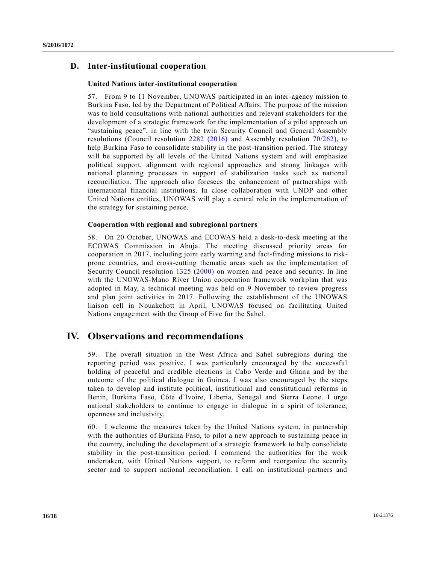## **D. Inter-institutional cooperation**

#### **United Nations inter-institutional cooperation**

57. From 9 to 11 November, UNOWAS participated in an inter-agency mission to Burkina Faso, led by the Department of Political Affairs. The purpose of the mission was to hold consultations with national authorities and relevant stakeholders for the development of a strategic framework for the implementation of a pilot approach on "sustaining peace", in line with the twin Security Council and General Assembly resolutions (Council resolution [2282 \(2016\)](http://undocs.org/S/RES/2282(2016)) and Assembly resolution  $70/262$ ), to help Burkina Faso to consolidate stability in the post-transition period. The strategy will be supported by all levels of the United Nations system and will emphasize political support, alignment with regional approaches and strong linkages with national planning processes in support of stabilization tasks such as national reconciliation. The approach also foresees the enhancement of partnerships with international financial institutions. In close collaboration with UNDP and other United Nations entities, UNOWAS will play a central role in the implementation of the strategy for sustaining peace.

#### **Cooperation with regional and subregional partners**

58. On 20 October, UNOWAS and ECOWAS held a desk-to-desk meeting at the ECOWAS Commission in Abuja. The meeting discussed priority areas for cooperation in 2017, including joint early warning and fact-finding missions to riskprone countries, and cross-cutting thematic areas such as the implementation of Security Council resolution [1325 \(2000\)](http://undocs.org/S/RES/1325(2000)) on women and peace and security. In line with the UNOWAS-Mano River Union cooperation framework workplan that was adopted in May, a technical meeting was held on 9 November to review progress and plan joint activities in 2017. Following the establishment of the UNOWAS liaison cell in Nouakchott in April, UNOWAS focused on facilitating United Nations engagement with the Group of Five for the Sahel.

## **IV. Observations and recommendations**

59. The overall situation in the West Africa and Sahel subregions during the reporting period was positive. I was particularly encouraged by the successful holding of peaceful and credible elections in Cabo Verde and Ghana and by the outcome of the political dialogue in Guinea. I was also encouraged by the steps taken to develop and institute political, institutional and constitutional reforms in Benin, Burkina Faso, Côte d'Ivoire, Liberia, Senegal and Sierra Leone. I urge national stakeholders to continue to engage in dialogue in a spirit of tolerance, openness and inclusivity.

60. I welcome the measures taken by the United Nations system, in partnership with the authorities of Burkina Faso, to pilot a new approach to sustaining peace in the country, including the development of a strategic framework to help consolidate stability in the post-transition period. I commend the authorities for the work undertaken, with United Nations support, to reform and reorganize the security sector and to support national reconciliation. I call on institutional partners and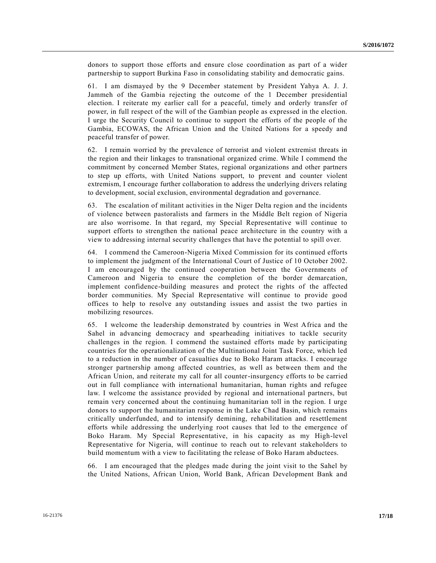donors to support those efforts and ensure close coordination as part of a wider partnership to support Burkina Faso in consolidating stability and democratic gains.

61. I am dismayed by the 9 December statement by President Yahya A. J. J. Jammeh of the Gambia rejecting the outcome of the 1 December presidential election. I reiterate my earlier call for a peaceful, timely and orderly transfer of power, in full respect of the will of the Gambian people as expressed in the election. I urge the Security Council to continue to support the efforts of the people of the Gambia, ECOWAS, the African Union and the United Nations for a speedy and peaceful transfer of power.

62. I remain worried by the prevalence of terrorist and violent extremist threats in the region and their linkages to transnational organized crime. While I commend the commitment by concerned Member States, regional organizations and other partners to step up efforts, with United Nations support, to prevent and counter violent extremism, I encourage further collaboration to address the underlying drivers relating to development, social exclusion, environmental degradation and governance.

63. The escalation of militant activities in the Niger Delta region and the incidents of violence between pastoralists and farmers in the Middle Belt region of Nigeria are also worrisome. In that regard, my Special Representative will continue to support efforts to strengthen the national peace architecture in the country with a view to addressing internal security challenges that have the potential to spill over.

64. I commend the Cameroon-Nigeria Mixed Commission for its continued efforts to implement the judgment of the International Court of Justice of 10 October 2002. I am encouraged by the continued cooperation between the Governments of Cameroon and Nigeria to ensure the completion of the border demarcation, implement confidence-building measures and protect the rights of the affected border communities. My Special Representative will continue to provide good offices to help to resolve any outstanding issues and assist the two parties in mobilizing resources.

65. I welcome the leadership demonstrated by countries in West Africa and the Sahel in advancing democracy and spearheading initiatives to tackle security challenges in the region. I commend the sustained efforts made by participating countries for the operationalization of the Multinational Joint Task Force, which led to a reduction in the number of casualties due to Boko Haram attacks. I encourage stronger partnership among affected countries, as well as between them and the African Union, and reiterate my call for all counter-insurgency efforts to be carried out in full compliance with international humanitarian, human rights and refugee law. I welcome the assistance provided by regional and international partners, but remain very concerned about the continuing humanitarian toll in the region. I urge donors to support the humanitarian response in the Lake Chad Basin, which remains critically underfunded, and to intensify demining, rehabilitation and resettlement efforts while addressing the underlying root causes that led to the emergence of Boko Haram. My Special Representative, in his capacity as my High-level Representative for Nigeria, will continue to reach out to relevant stakeholders to build momentum with a view to facilitating the release of Boko Haram abductees.

66. I am encouraged that the pledges made during the joint visit to the Sahel by the United Nations, African Union, World Bank, African Development Bank and